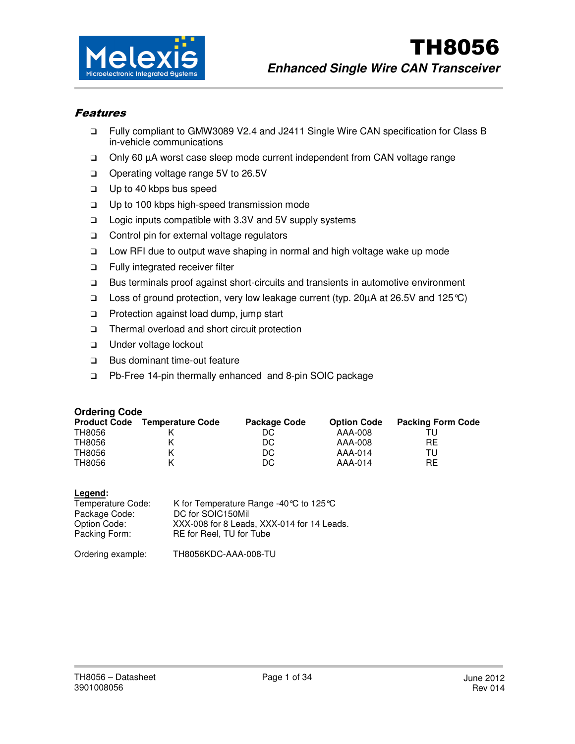

### Features

- Fully compliant to GMW3089 V2.4 and J2411 Single Wire CAN specification for Class B in-vehicle communications
- Only 60 µA worst case sleep mode current independent from CAN voltage range
- □ Operating voltage range 5V to 26.5V
- $\square$  Up to 40 kbps bus speed
- □ Up to 100 kbps high-speed transmission mode
- □ Logic inputs compatible with 3.3V and 5V supply systems
- □ Control pin for external voltage regulators
- Low RFI due to output wave shaping in normal and high voltage wake up mode
- Fully integrated receiver filter
- Bus terminals proof against short-circuits and transients in automotive environment
- $□$  Loss of ground protection, very low leakage current (typ. 20μA at 26.5V and 125 ℃)
- □ Protection against load dump, jump start
- Thermal overload and short circuit protection
- Under voltage lockout
- □ Bus dominant time-out feature
- Pb-Free 14-pin thermally enhanced and 8-pin SOIC package

#### **Ordering Code**

| <b>Product Code</b> | <b>Temperature Code</b> | <b>Package Code</b> | <b>Option Code</b> | <b>Packing Form Code</b> |
|---------------------|-------------------------|---------------------|--------------------|--------------------------|
| TH8056              |                         | DC                  | AAA-008            |                          |
| TH8056              |                         | DC                  | AAA-008            | RE                       |
| TH8056              |                         | DC                  | AAA-014            | TI I                     |
| TH8056              |                         | DC                  | AAA-014            | RE.                      |

| $-0.9$<br>Temperature Code:<br>Package Code:<br>Option Code: | K for Temperature Range -40 °C to 125 °C<br>DC for SOIC150Mil<br>XXX-008 for 8 Leads, XXX-014 for 14 Leads. |
|--------------------------------------------------------------|-------------------------------------------------------------------------------------------------------------|
| Packing Form:                                                | RE for Reel, TU for Tube                                                                                    |
| Ordering example:                                            | TH8056KDC-AAA-008-TU                                                                                        |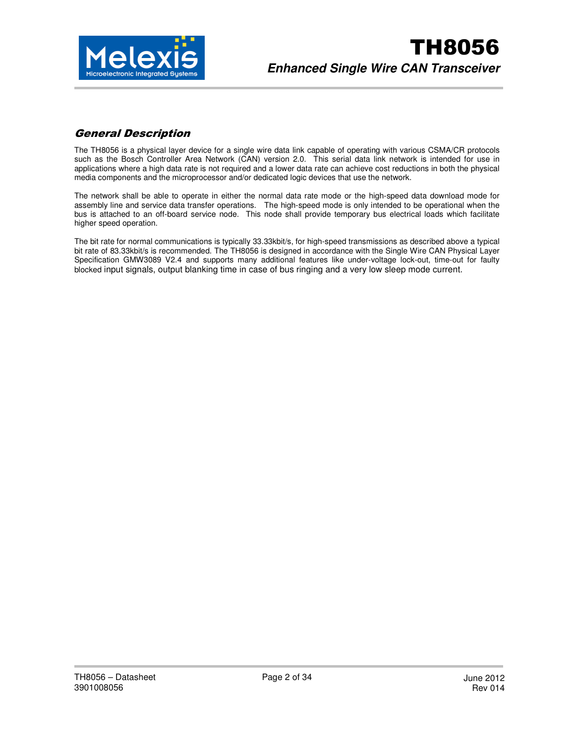

## General Description

The TH8056 is a physical layer device for a single wire data link capable of operating with various CSMA/CR protocols such as the Bosch Controller Area Network (CAN) version 2.0. This serial data link network is intended for use in applications where a high data rate is not required and a lower data rate can achieve cost reductions in both the physical media components and the microprocessor and/or dedicated logic devices that use the network.

The network shall be able to operate in either the normal data rate mode or the high-speed data download mode for assembly line and service data transfer operations. The high-speed mode is only intended to be operational when the bus is attached to an off-board service node. This node shall provide temporary bus electrical loads which facilitate higher speed operation.

The bit rate for normal communications is typically 33.33kbit/s, for high-speed transmissions as described above a typical bit rate of 83.33kbit/s is recommended. The TH8056 is designed in accordance with the Single Wire CAN Physical Layer Specification GMW3089 V2.4 and supports many additional features like under-voltage lock-out, time-out for faulty blocked input signals, output blanking time in case of bus ringing and a very low sleep mode current.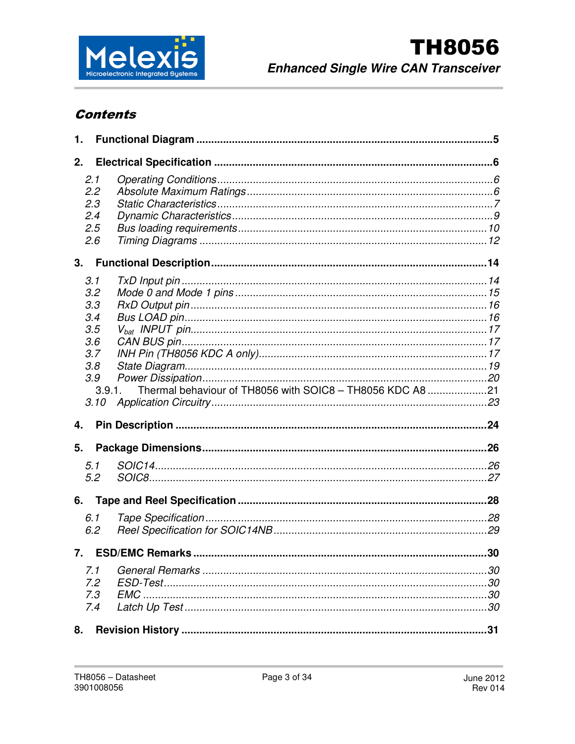

# **Contents**

| 1.           |        |                                                           |    |
|--------------|--------|-----------------------------------------------------------|----|
| 2.           |        |                                                           |    |
|              | 2.1    |                                                           |    |
|              | 2.2    |                                                           |    |
|              | 2.3    |                                                           |    |
|              | 2.4    |                                                           |    |
|              | 2.5    |                                                           |    |
|              | 2.6    |                                                           |    |
| 3.           |        |                                                           |    |
|              | 3.1    |                                                           |    |
|              | 3.2    |                                                           |    |
|              | 3.3    |                                                           |    |
|              | 3.4    |                                                           |    |
|              | 3.5    |                                                           |    |
|              | 3.6    |                                                           |    |
|              | 3.7    |                                                           |    |
|              | 3.8    |                                                           |    |
|              | 3.9    |                                                           |    |
|              | 3.9.1. | Thermal behaviour of TH8056 with SOIC8 - TH8056 KDC A8 21 |    |
|              | 3.10   |                                                           |    |
| 4.           |        |                                                           |    |
|              |        |                                                           |    |
| 5.           |        |                                                           |    |
|              | 5.1    |                                                           |    |
|              | 5.2    |                                                           |    |
| 6.           |        |                                                           |    |
|              | 6.1    |                                                           |    |
|              | 6.2    |                                                           |    |
|              |        |                                                           |    |
| $\mathbf{7}$ |        | <b>ESD/EMC Remarks</b>                                    | 30 |
|              | 7.1    |                                                           |    |
|              | 7.2    |                                                           |    |
|              | 7.3    |                                                           |    |
|              | 7.4    |                                                           |    |
| 8.           |        |                                                           |    |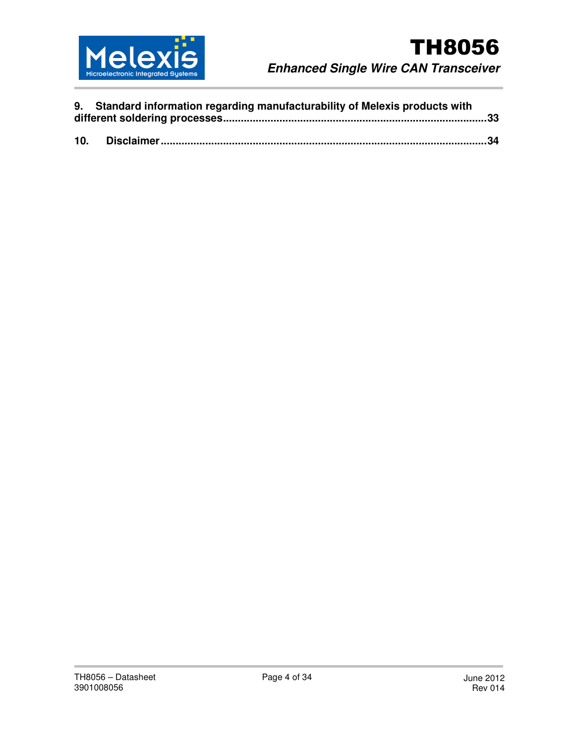

|     | 9. Standard information regarding manufacturability of Melexis products with |  |
|-----|------------------------------------------------------------------------------|--|
| 10. |                                                                              |  |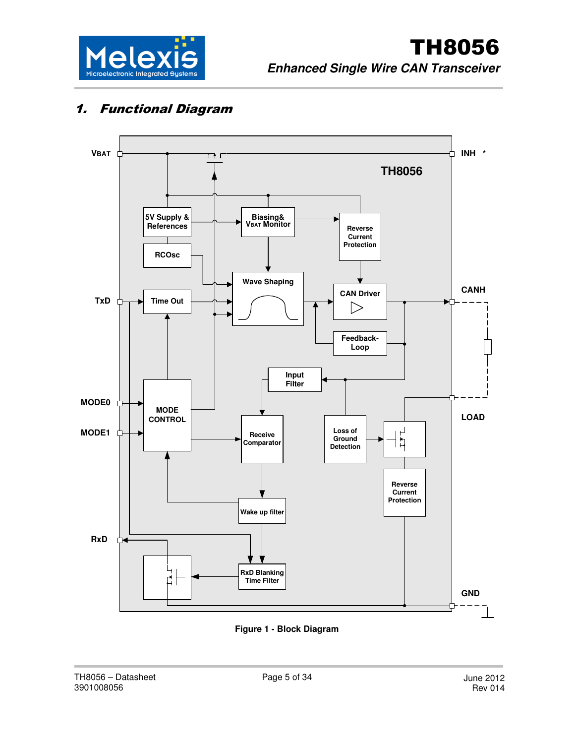

# 1. Functional Diagram



**Figure 1 - Block Diagram**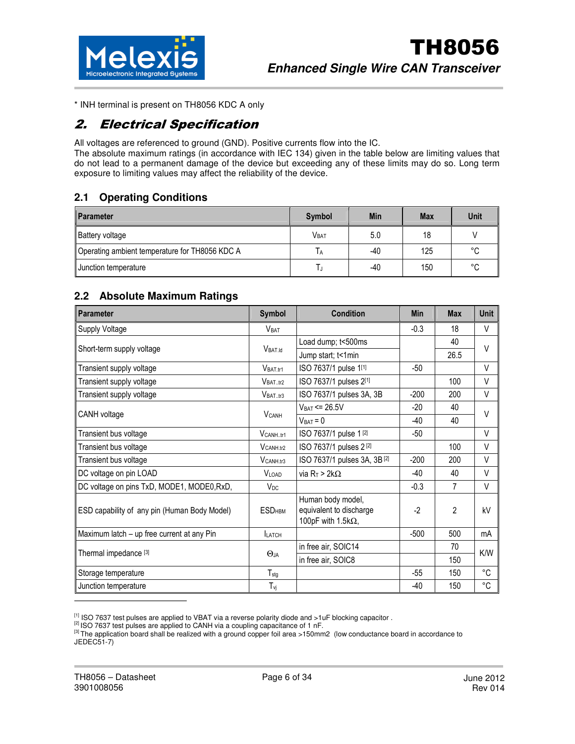

\* INH terminal is present on TH8056 KDC A only

# 2. Electrical Specification

All voltages are referenced to ground (GND). Positive currents flow into the IC. The absolute maximum ratings (in accordance with IEC 134) given in the table below are limiting values that do not lead to a permanent damage of the device but exceeding any of these limits may do so. Long term exposure to limiting values may affect the reliability of the device.

### **2.1 Operating Conditions**

| <b>Parameter</b>                               | <b>Symbol</b> | Min   | <b>Max</b> | Unit    |
|------------------------------------------------|---------------|-------|------------|---------|
| <b>Battery voltage</b>                         | <b>VBAT</b>   | 5.0   | 18         |         |
| Operating ambient temperature for TH8056 KDC A |               | $-40$ | 125        | $\sim$  |
| Junction temperature                           |               | -40   | 150        | $\circ$ |

### **2.2 Absolute Maximum Ratings**

| <b>Parameter</b>                             | Symbol                   | <b>Condition</b>                                                           | <b>Min</b>  | <b>Max</b>     | <b>Unit</b> |  |
|----------------------------------------------|--------------------------|----------------------------------------------------------------------------|-------------|----------------|-------------|--|
| Supply Voltage                               | V <sub>BAT</sub>         |                                                                            | $-0.3$      | 18             | $\vee$      |  |
|                                              | $VBAT_id$                | Load dump; t<500ms                                                         |             | 40             | $\vee$      |  |
| Short-term supply voltage                    |                          | Jump start; t<1min                                                         |             | 26.5           |             |  |
| Transient supply voltage                     | V <sub>BAT tr1</sub>     | ISO 7637/1 pulse 1[1]                                                      | $-50$       |                | $\vee$      |  |
| Transient supply voltage                     | V <sub>BAT,tr2</sub>     | ISO 7637/1 pulses 2[1]                                                     |             | 100            | $\vee$      |  |
| Transient supply voltage                     | V <sub>BAT,tr3</sub>     | ISO 7637/1 pulses 3A, 3B                                                   | $-200$      | 200            | $\vee$      |  |
|                                              |                          | $VBAT = 26.5V$                                                             | $-20$       | 40             | $\vee$      |  |
| CANH voltage                                 | $V_{CANH}$               | $V_{BAT} = 0$                                                              | 40<br>$-40$ |                |             |  |
| Transient bus voltage                        | $V_{CANHtr1}$            | ISO 7637/1 pulse 1 [2]                                                     | -50         |                | V           |  |
| Transient bus voltage                        | $V_{CANH,tr2}$           | ISO 7637/1 pulses 2 [2]                                                    |             | 100            | $\vee$      |  |
| Transient bus voltage                        | $V_{CANH,tr3}$           | ISO 7637/1 pulses 3A, 3B [2]                                               | $-200$      | 200            | V           |  |
| DC voltage on pin LOAD                       | <b>VIOAD</b>             | via R <sub>T</sub> > 2k $\Omega$                                           | -40         | 40             | $\vee$      |  |
| DC voltage on pins TxD, MODE1, MODE0, RxD,   | $V_{DC}$                 |                                                                            | $-0.3$      | $\overline{7}$ | $\vee$      |  |
| ESD capability of any pin (Human Body Model) | <b>ESD<sub>HBM</sub></b> | Human body model,<br>equivalent to discharge<br>100pF with 1.5k $\Omega$ , | $-2$        | $\mathfrak{p}$ | kV          |  |
| Maximum latch - up free current at any Pin   | <b>LATCH</b>             |                                                                            | $-500$      | 500            | mA          |  |
|                                              |                          | in free air, SOIC14                                                        |             | 70             | K/W         |  |
| Thermal impedance [3]                        | $\Theta$ ja              | in free air, SOIC8                                                         |             | 150            |             |  |
| Storage temperature                          | $T_{\text{stg}}$         |                                                                            | $-55$       | 150            | °C          |  |
| Junction temperature                         | $T_{\nu j}$              |                                                                            | -40         | 150            | °C          |  |

 $^{[1]}$  ISO 7637 test pulses are applied to VBAT via a reverse polarity diode and  $>1$ uF blocking capacitor.

<sup>[2]</sup> ISO 7637 test pulses are applied to CANH via a coupling capacitance of 1 nF.

[3] The application board shall be realized with a ground copper foil area >150mm2 (low conductance board in accordance to JEDEC51-7)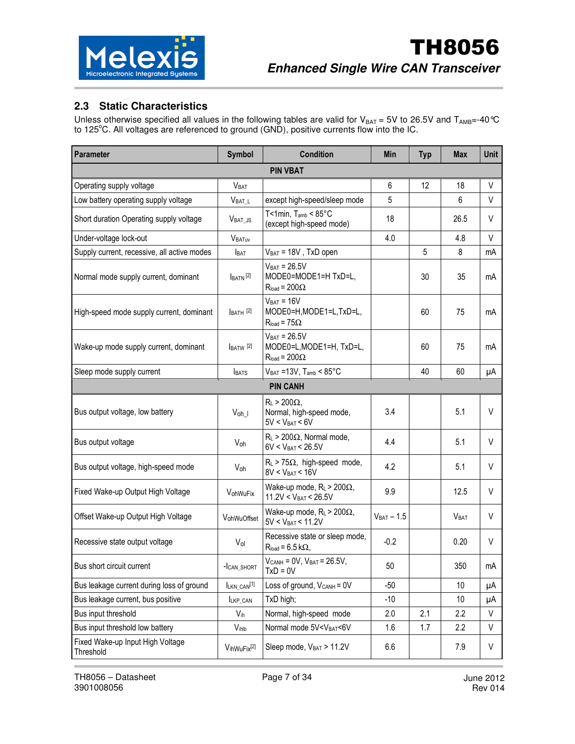

## **2.3 Static Characteristics**

Unless otherwise specified all values in the following tables are valid for V<sub>BAT</sub> = 5V to 26.5V and T<sub>AMB</sub>=-40 °C to 125°C. All voltages are referenced to ground (GND), positive currents flow into the IC.

| Parameter                                     | Symbol                  | <b>Condition</b>                                                                         | Min             | <b>Typ</b> | <b>Max</b>      | Unit   |
|-----------------------------------------------|-------------------------|------------------------------------------------------------------------------------------|-----------------|------------|-----------------|--------|
|                                               |                         |                                                                                          |                 |            |                 |        |
| Operating supply voltage                      | <b>V</b> BAT            |                                                                                          | 6               | 12         | 18              | V      |
| Low battery operating supply voltage          | $V_{BAT\_L}$            | except high-speed/sleep mode                                                             | 5               |            | 6               | $\vee$ |
| Short duration Operating supply voltage       | $V_{BAT\_JS}$           | T<1min, $T_{amb}$ < $85^{\circ}$ C<br>(except high-speed mode)                           | 18              |            | 26.5            | V      |
| Under-voltage lock-out                        | <b>VBATUV</b>           |                                                                                          | 4.0             |            | 4.8             | V      |
| Supply current, recessive, all active modes   | <b>BAT</b>              | $V_{BAT} = 18V$ , TxD open                                                               |                 | 5          | 8               | mA     |
| Normal mode supply current, dominant          | $BATN$ <sup>[2]</sup>   | $V_{BAT} = 26.5V$<br>MODE0=MODE1=H TxD=L,<br>$R_{load} = 200\Omega$                      |                 | 30         | 35              | mA     |
| High-speed mode supply current, dominant      | $IBATH$ [2]             | $V_{BAT} = 16V$<br>MODE0=H, MODE1=L, TxD=L,<br>$R_{load} = 75\Omega$                     |                 | 60         | 75              | mA     |
| Wake-up mode supply current, dominant         | $BATW$ <sup>[2]</sup>   | $VBAT = 26.5V$<br>MODE0=L, MODE1=H, TxD=L,<br>$R_{load} = 200\Omega$                     |                 | 60         | 75              | mA     |
| Sleep mode supply current                     | <b>BATS</b>             | $V_{BAT}$ =13V, $T_{amb}$ < 85°C                                                         |                 | 40         | 60              | μA     |
|                                               |                         | <b>PIN CANH</b>                                                                          |                 |            |                 |        |
| Bus output voltage, low battery               | $V_{oh\_l}$             | $R_L > 200\Omega$ ,<br>Normal, high-speed mode,<br>$5V < V_{BAT} < 6V$                   | 3.4             |            | 5.1             | V      |
| Bus output voltage                            | $V_{oh}$                | $R_L$ > 200 $\Omega$ , Normal mode,<br>$6V < V_{BAT} < 26.5V$                            | 4.4             |            | 5.1             | V      |
| Bus output voltage, high-speed mode           | Voh                     | $R_L$ > 75 $\Omega$ , high-speed mode,<br>$8V < V_{BAT} < 16V$                           | 4.2             |            | 5.1             | V      |
| Fixed Wake-up Output High Voltage             | VohWuFix                | Wake-up mode, $R_L$ > 200 $\Omega$ ,<br>$11.2V < V_{BAT} < 26.5V$                        | 9.9             |            | 12.5            | V      |
| Offset Wake-up Output High Voltage            | VohWuOffset             | Wake-up mode, $R_L$ > 200 $\Omega$ ,<br>$5V < V_{BAT} < 11.2V$                           | $V_{BAT} - 1.5$ |            | <b>VBAT</b>     | V      |
| Recessive state output voltage                | Vol                     | Recessive state or sleep mode,<br>$R_{load} = 6.5 k\Omega$ ,                             | $-0.2$          |            | 0.20            | V      |
| Bus short circuit current                     | -Ican_short             | $V_{CANH} = 0V$ , $V_{BAT} = 26.5V$ ,<br>$TxD = 0V$                                      | 50              |            | 350             | mA     |
| Bus leakage current during loss of ground     | ILKN_CAN <sup>[1]</sup> | Loss of ground, $V_{CANH} = 0V$                                                          | $-50$           |            | 10              | μA     |
| Bus leakage current, bus positive             | LKP_CAN                 | TxD high;                                                                                | $-10$           |            | 10 <sup>°</sup> | μA     |
| Bus input threshold                           | $V_{ih}$                | Normal, high-speed mode                                                                  | 2.0             | 2.1        | 2.2             | V      |
| Bus input threshold low battery               | $V_{ihlb}$              | Normal mode 5V <vbat<6v< td=""><td>1.6</td><td>1.7</td><td>2.2</td><td>V</td></vbat<6v<> | 1.6             | 1.7        | 2.2             | V      |
| Fixed Wake-up Input High Voltage<br>Threshold | VihWuFix <sup>[2]</sup> | Sleep mode, VBAT > 11.2V                                                                 | 6.6             |            | 7.9             | V      |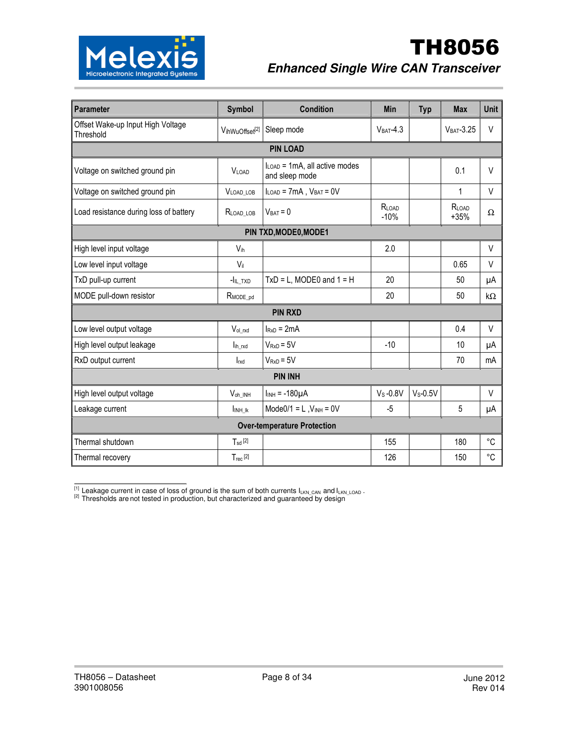

| <b>Parameter</b>                               | <b>Symbol</b>                                                 | <b>Condition</b>                   | <b>Min</b>      | <b>Typ</b> | <b>Max</b>      | <b>Unit</b> |  |
|------------------------------------------------|---------------------------------------------------------------|------------------------------------|-----------------|------------|-----------------|-------------|--|
| Offset Wake-up Input High Voltage<br>Threshold | VihWuOffset <sup>[2]</sup>                                    | Sleep mode                         | $VBAT-4.3$      |            | $VBAT - 3.25$   | $\vee$      |  |
| <b>PIN LOAD</b>                                |                                                               |                                    |                 |            |                 |             |  |
| Voltage on switched ground pin                 | $I_{LOAD}$ = 1mA, all active modes<br>VLOAD<br>and sleep mode |                                    |                 |            | 0.1             | $\vee$      |  |
| Voltage on switched ground pin                 | VLOAD_LOB                                                     | $I_{LOAD}$ = 7mA, $V_{BAT}$ = 0V   |                 |            | 1               | V           |  |
| Load resistance during loss of battery         | RLOAD_LOB                                                     | $V_{BAT} = 0$                      | RLOAD<br>$-10%$ |            | RLOAD<br>$+35%$ | Ω           |  |
| PIN TXD, MODE0, MODE1                          |                                                               |                                    |                 |            |                 |             |  |
| High level input voltage                       | V <sub>ih</sub>                                               |                                    | 2.0             |            |                 | $\vee$      |  |
| Low level input voltage                        | $V_{il}$                                                      |                                    |                 |            | 0.65            | V           |  |
| TxD pull-up current                            | $-I_{IL}$ TXD                                                 | $TxD = L$ , MODE0 and $1 = H$      | 20              |            | 50              | μA          |  |
| MODE pull-down resistor                        | $R$ MODE_pd                                                   |                                    | 20              |            | 50              | $k\Omega$   |  |
|                                                |                                                               | <b>PIN RXD</b>                     |                 |            |                 |             |  |
| Low level output voltage                       | Vol rxd                                                       | $I_{RxD} = 2mA$                    |                 |            | 0.4             | $\vee$      |  |
| High level output leakage                      | lih rxd                                                       | $V_{RxD} = 5V$                     | $-10$           |            | 10              | μA          |  |
| RxD output current                             | $\mathsf{I}_{\mathsf{rxd}}$                                   | $V_{RxD} = 5V$                     |                 |            | 70              | mA          |  |
| <b>PIN INH</b>                                 |                                                               |                                    |                 |            |                 |             |  |
| High level output voltage                      | V <sub>oh</sub> INH                                           | $I_{INH} = -180\mu A$              |                 | $V_S-0.5V$ |                 | V           |  |
| Leakage current                                | INH IK                                                        | $Mode0/1 = L$ , $V_{INH} = 0V$     | $-5$            |            | 5               | μA          |  |
|                                                |                                                               | <b>Over-temperature Protection</b> |                 |            |                 |             |  |
| Thermal shutdown                               | $T_{sd}$ [2]                                                  |                                    | 155             |            | 180             | °C          |  |
| Thermal recovery                               | $T_{rec}$ [2]                                                 |                                    | 126             |            | 150             | $^{\circ}C$ |  |

 $^{[1]}$  Leakage current in case of loss of ground is the sum of both currents  $I_{LKN\_CAN}$  and  $I_{LKN\_LOAD}$  .

 $^{[2]}$  Thresholds are not tested in production, but characterized and guaranteed by design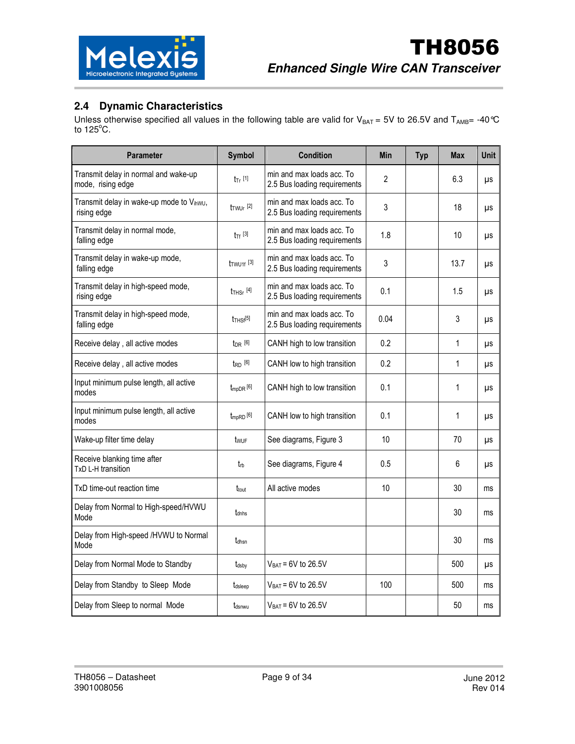

## **2.4 Dynamic Characteristics**

Unless otherwise specified all values in the following table are valid for V<sub>BAT</sub> = 5V to 26.5V and T<sub>AMB</sub>= -40°C to  $125^{\circ}$ C.

| <b>Parameter</b>                                          | <b>Symbol</b>                      | <b>Condition</b>                                          | <b>Min</b>     | <b>Typ</b> | <b>Max</b>     | Unit |
|-----------------------------------------------------------|------------------------------------|-----------------------------------------------------------|----------------|------------|----------------|------|
| Transmit delay in normal and wake-up<br>mode, rising edge | $t_T$ [1]                          | min and max loads acc. To<br>2.5 Bus loading requirements | $\overline{c}$ |            | 6.3            | μs   |
| Transmit delay in wake-up mode to Vihwu,<br>rising edge   | $t_{TWUr}$ <sup>[2]</sup>          | min and max loads acc. To<br>2.5 Bus loading requirements | 3              |            | 18             | μs   |
| Transmit delay in normal mode,<br>falling edge            | $t_{\text{Tf}}$ [3]                | min and max loads acc. To<br>2.5 Bus loading requirements | 1.8            |            | 10             | μs   |
| Transmit delay in wake-up mode,<br>falling edge           | $t$ TWU <sub>1f</sub> [3]          | min and max loads acc. To<br>2.5 Bus loading requirements | 3              |            | 13.7           | μs   |
| Transmit delay in high-speed mode,<br>rising edge         | $t$ <sub>THSr</sub> $[4]$          | min and max loads acc. To<br>2.5 Bus loading requirements | 0.1            |            | 1.5            | μs   |
| Transmit delay in high-speed mode,<br>falling edge        | $t$ <sub>THSf</sub> <sup>[5]</sup> | min and max loads acc. To<br>2.5 Bus loading requirements | 0.04           |            | $\mathfrak{Z}$ | μs   |
| Receive delay, all active modes                           | $t_{DR}$ [6]                       | CANH high to low transition                               | 0.2            |            | 1              | μs   |
| Receive delay, all active modes                           | $t_{RD}$ [6]                       | CANH low to high transition                               | 0.2            |            | 1              | μs   |
| Input minimum pulse length, all active<br>modes           | $t_{mpDR}$ [6]                     | CANH high to low transition                               | 0.1            |            | 1              | μs   |
| Input minimum pulse length, all active<br>modes           | $t_{mpRD}$ [6]                     | CANH low to high transition                               | 0.1            |            | 1              | μs   |
| Wake-up filter time delay                                 | twur                               | See diagrams, Figure 3                                    | 10             |            | 70             | μs   |
| Receive blanking time after<br>TxD L-H transition         | trb                                | See diagrams, Figure 4                                    | 0.5            |            | 6              | μs   |
| TxD time-out reaction time                                | t <sub>tout</sub>                  | All active modes                                          | 10             |            | 30             | ms   |
| Delay from Normal to High-speed/HVWU<br>Mode              | tdnhs                              |                                                           |                |            | 30             | ms   |
| Delay from High-speed /HVWU to Normal<br>Mode             | tdhsn                              |                                                           |                |            | 30             | ms   |
| Delay from Normal Mode to Standby                         | tdsby                              | $V_{BAT} = 6V$ to 26.5V                                   |                |            | 500            | μs   |
| Delay from Standby to Sleep Mode                          | tdsleep                            | $V_{BAT} = 6V$ to 26.5V                                   | 100            |            | 500            | ms   |
| Delay from Sleep to normal Mode                           | tdsnwu                             | $V_{BAT} = 6V$ to 26.5V                                   |                |            | 50             | ms   |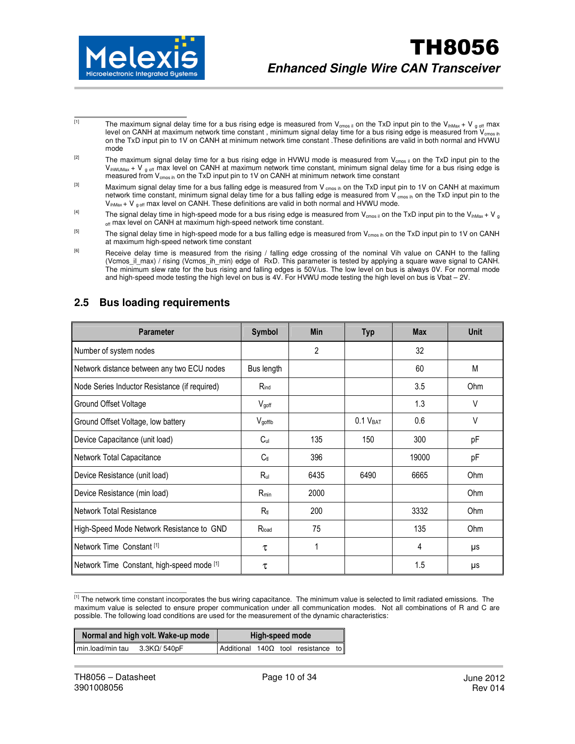

- The maximum signal delay time for a bus rising edge is measured from  $V_{\rm cross}$  on the TxD input pin to the  $V_{\rm inMax}$  + V  $_{g \text{ off}}$  max level on CANH at maximum network time constant, minimum signal delay time for a bus rising edge is measured from  $V_{\rm cross}$  in on the TxD input pin to 1V on CANH at minimum network time constant .These definitions are valid in both normal and HVWU mode
- <sup>[2]</sup> The maximum signal delay time for a bus rising edge in HVWU mode is measured from V<sub>cmos il</sub> on the TxD input pin to the  $V_{\text{inWUMax}} + V_{g \text{ off}}$  max level on CANH at maximum network time constant, minimum signal delay time for a bus rising edge is measured from V<sub>cmos ih</sub> on the TxD input pin to 1V on CANH at minimum network time constant
- [3] Maximum signal delay time for a bus falling edge is measured from V cmos in on the TxD input pin to 1V on CANH at maximum network time constant, minimum signal delay time for a bus falling edge is measured from V cmos in on the TxD input pin to the  $V_{inMax} + V_{g \text{ off}}$  max level on CANH. These definitions are valid in both normal and HVWU mode.
- <sup>[4]</sup> The signal delay time in high-speed mode for a bus rising edge is measured from V<sub>cmos ii</sub> on the TxD input pin to the V<sub>ihMax</sub> + V<sub>g</sub> off max level on CANH at maximum high-speed network time constant.
- <sup>[5]</sup> The signal delay time in high-speed mode for a bus falling edge is measured from V<sub>cmos ih</sub> on the TxD input pin to 1V on CANH at maximum high-speed network time constant
- <sup>[6]</sup> Receive delay time is measured from the rising / falling edge crossing of the nominal Vih value on CANH to the falling (Vcmos\_il\_max) / rising (Vcmos\_ih\_min) edge of RxD. This parameter is tested by applying a square wave signal to CANH. The minimum slew rate for the bus rising and falling edges is 50V/us. The low level on bus is always 0V. For normal mode and high-speed mode testing the high level on bus is 4V. For HVWU mode testing the high level on bus is Vbat – 2V.

| <b>Parameter</b>                              | <b>Symbol</b>   | <b>Min</b>     | <b>Typ</b>           | <b>Max</b> | <b>Unit</b> |
|-----------------------------------------------|-----------------|----------------|----------------------|------------|-------------|
| Number of system nodes                        |                 | $\overline{2}$ |                      | 32         |             |
| Network distance between any two ECU nodes    | Bus length      |                |                      | 60         | M           |
| Node Series Inductor Resistance (if required) | $R_{ind}$       |                |                      | 3.5        | Ohm         |
| Ground Offset Voltage                         | Vgoff           |                |                      | 1.3        | V           |
| Ground Offset Voltage, low battery            | Vgofflb         |                | 0.1 V <sub>BAT</sub> | 0.6        | $\vee$      |
| Device Capacitance (unit load)                | C <sub>ul</sub> | 135            | 150                  | 300        | pF          |
| Network Total Capacitance                     | C <sub>tl</sub> | 396            |                      | 19000      | рF          |
| Device Resistance (unit load)                 | $R_{ul}$        | 6435           | 6490                 | 6665       | Ohm         |
| Device Resistance (min load)                  | $R_{min}$       | 2000           |                      |            | Ohm         |
| Network Total Resistance                      | $R_{\rm H}$     | 200            |                      | 3332       | Ohm         |
| High-Speed Mode Network Resistance to GND     | $R_{load}$      | 75             |                      | 135        | Ohm         |
| Network Time Constant [1]                     | τ               | 1              |                      | 4          | μs          |
| Network Time Constant, high-speed mode [1]    | τ               |                |                      | 1.5        | μs          |

### **2.5 Bus loading requirements**

[1] The network time constant incorporates the bus wiring capacitance. The minimum value is selected to limit radiated emissions. The maximum value is selected to ensure proper communication under all communication modes. Not all combinations of R and C are possible. The following load conditions are used for the measurement of the dynamic characteristics:

| Normal and high volt. Wake-up mode          | High-speed mode                           |
|---------------------------------------------|-------------------------------------------|
| min.load/min tau<br>$3.3$ K $\Omega/$ 540pF | Additional $140\Omega$ tool resistance to |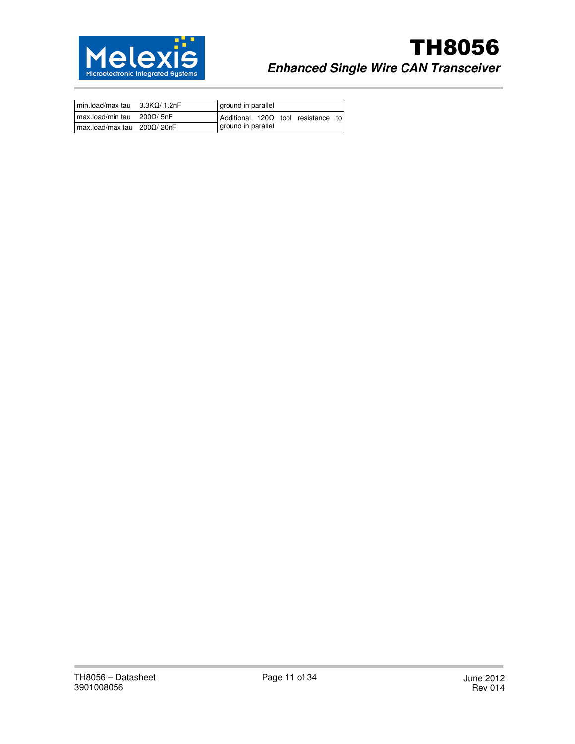

# TH8056 **Enhanced Single Wire CAN Transceiver**

| $min.load/max$ tau $3.3K\Omega/1.2nF$ | ground in parallel                            |
|---------------------------------------|-----------------------------------------------|
| $max.load/min$ tau $200\Omega/5nF$    | $Adiditional$ 120 $\Omega$ tool resistance to |
| $max.load/max$ tau $200\Omega/20nF$   | ground in parallel                            |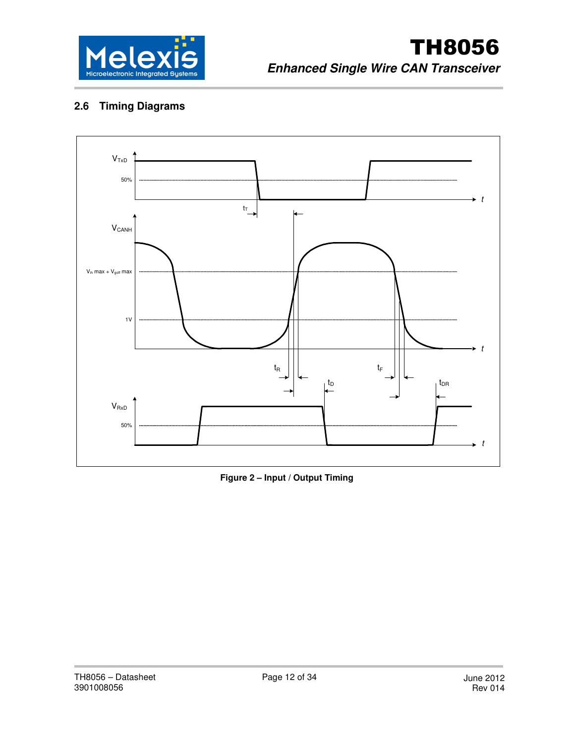

# **2.6 Timing Diagrams**



**Figure 2 – Input / Output Timing**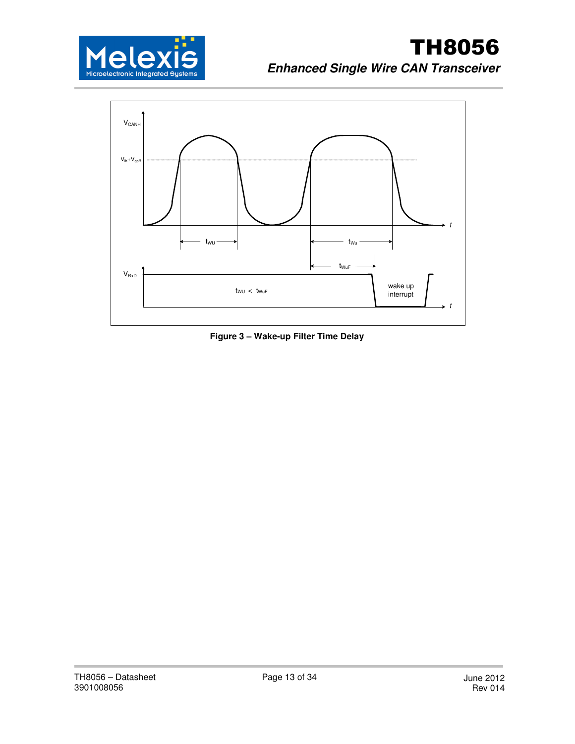



**Figure 3 – Wake-up Filter Time Delay**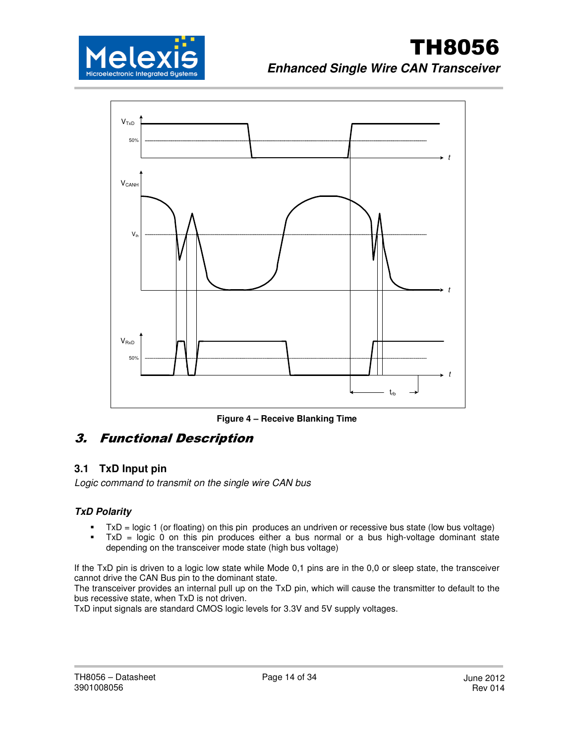



**Figure 4 – Receive Blanking Time** 

# 3. Functional Description

# **3.1 TxD Input pin**

Logic command to transmit on the single wire CAN bus

### **TxD Polarity**

- -TxD = logic 1 (or floating) on this pin produces an undriven or recessive bus state (low bus voltage)
- - TxD = logic 0 on this pin produces either a bus normal or a bus high-voltage dominant state depending on the transceiver mode state (high bus voltage)

If the TxD pin is driven to a logic low state while Mode 0,1 pins are in the 0,0 or sleep state, the transceiver cannot drive the CAN Bus pin to the dominant state.

The transceiver provides an internal pull up on the TxD pin, which will cause the transmitter to default to the bus recessive state, when TxD is not driven.

TxD input signals are standard CMOS logic levels for 3.3V and 5V supply voltages.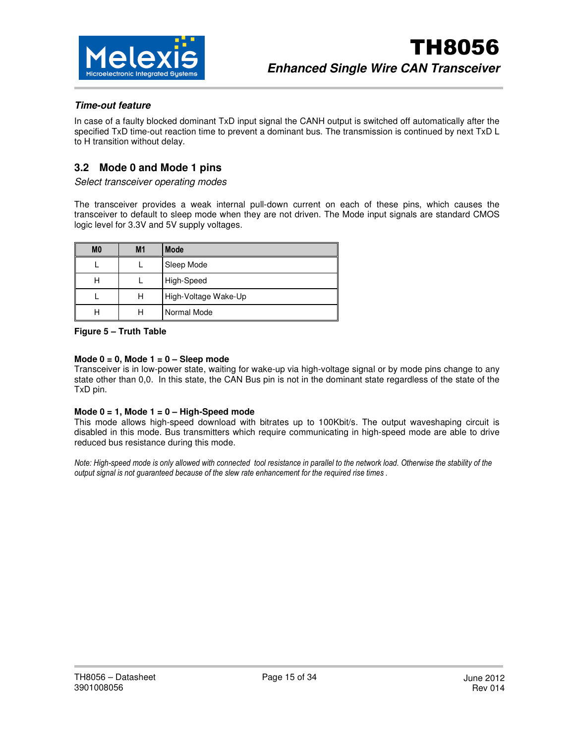

#### **Time-out feature**

In case of a faulty blocked dominant TxD input signal the CANH output is switched off automatically after the specified TxD time-out reaction time to prevent a dominant bus. The transmission is continued by next TxD L to H transition without delay.

### **3.2 Mode 0 and Mode 1 pins**

Select transceiver operating modes

The transceiver provides a weak internal pull-down current on each of these pins, which causes the transceiver to default to sleep mode when they are not driven. The Mode input signals are standard CMOS logic level for 3.3V and 5V supply voltages.

| M <sub>0</sub> | M <sub>1</sub> | <b>Mode</b>          |
|----------------|----------------|----------------------|
|                |                | Sleep Mode           |
| H              |                | High-Speed           |
|                | н              | High-Voltage Wake-Up |
|                |                | Normal Mode          |

#### **Figure 5 – Truth Table**

#### **Mode 0 = 0, Mode 1 = 0 – Sleep mode**

Transceiver is in low-power state, waiting for wake-up via high-voltage signal or by mode pins change to any state other than 0,0. In this state, the CAN Bus pin is not in the dominant state regardless of the state of the TxD pin.

#### **Mode 0 = 1, Mode 1 = 0 – High-Speed mode**

This mode allows high-speed download with bitrates up to 100Kbit/s. The output waveshaping circuit is disabled in this mode. Bus transmitters which require communicating in high-speed mode are able to drive reduced bus resistance during this mode.

Note: High-speed mode is only allowed with connected tool resistance in parallel to the network load. Otherwise the stability of the output signal is not guaranteed because of the slew rate enhancement for the required rise times .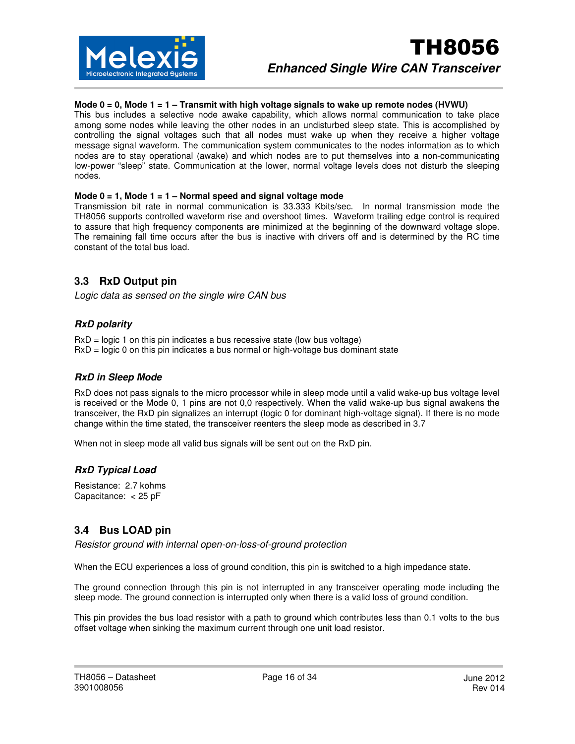

#### **Mode 0 = 0, Mode 1 = 1 – Transmit with high voltage signals to wake up remote nodes (HVWU)**

This bus includes a selective node awake capability, which allows normal communication to take place among some nodes while leaving the other nodes in an undisturbed sleep state. This is accomplished by controlling the signal voltages such that all nodes must wake up when they receive a higher voltage message signal waveform. The communication system communicates to the nodes information as to which nodes are to stay operational (awake) and which nodes are to put themselves into a non-communicating low-power "sleep" state. Communication at the lower, normal voltage levels does not disturb the sleeping nodes.

#### **Mode 0 = 1, Mode 1 = 1 – Normal speed and signal voltage mode**

Transmission bit rate in normal communication is 33.333 Kbits/sec. In normal transmission mode the TH8056 supports controlled waveform rise and overshoot times. Waveform trailing edge control is required to assure that high frequency components are minimized at the beginning of the downward voltage slope. The remaining fall time occurs after the bus is inactive with drivers off and is determined by the RC time constant of the total bus load.

#### **3.3 RxD Output pin**

Logic data as sensed on the single wire CAN bus

#### **RxD polarity**

RxD = logic 1 on this pin indicates a bus recessive state (low bus voltage) RxD = logic 0 on this pin indicates a bus normal or high-voltage bus dominant state

#### **RxD in Sleep Mode**

RxD does not pass signals to the micro processor while in sleep mode until a valid wake-up bus voltage level is received or the Mode 0, 1 pins are not 0,0 respectively. When the valid wake-up bus signal awakens the transceiver, the RxD pin signalizes an interrupt (logic 0 for dominant high-voltage signal). If there is no mode change within the time stated, the transceiver reenters the sleep mode as described in 3.7

When not in sleep mode all valid bus signals will be sent out on the RxD pin.

#### **RxD Typical Load**

Resistance: 2.7 kohms Capacitance: < 25 pF

#### **3.4 Bus LOAD pin**

Resistor ground with internal open-on-loss-of-ground protection

When the ECU experiences a loss of ground condition, this pin is switched to a high impedance state.

The ground connection through this pin is not interrupted in any transceiver operating mode including the sleep mode. The ground connection is interrupted only when there is a valid loss of ground condition.

This pin provides the bus load resistor with a path to ground which contributes less than 0.1 volts to the bus offset voltage when sinking the maximum current through one unit load resistor.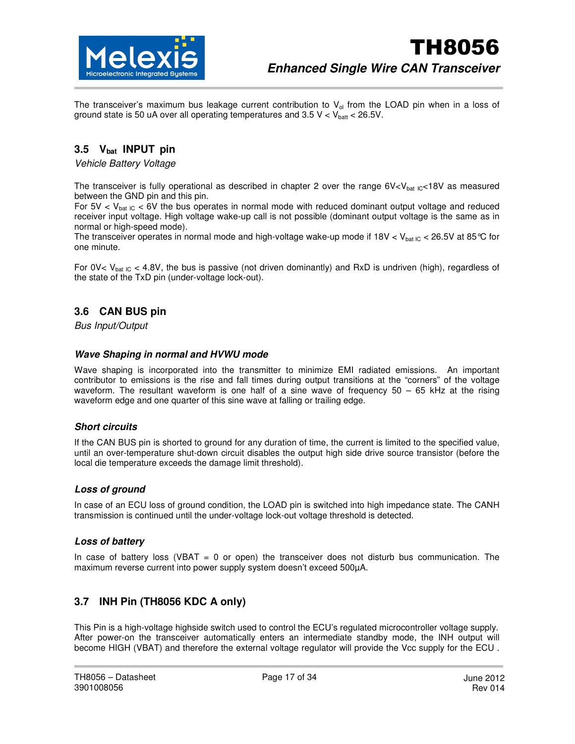

The transceiver's maximum bus leakage current contribution to  $V_{ol}$  from the LOAD pin when in a loss of ground state is 50 uA over all operating temperatures and  $3.5$  V < V<sub>batt</sub> < 26.5V.

### **3.5 Vbat INPUT pin**

Vehicle Battery Voltage

The transceiver is fully operational as described in chapter 2 over the range  $6V < V_{bat}$  IC<18V as measured between the GND pin and this pin.

For 5V  $<$  V<sub>bat IC</sub>  $<$  6V the bus operates in normal mode with reduced dominant output voltage and reduced receiver input voltage. High voltage wake-up call is not possible (dominant output voltage is the same as in normal or high-speed mode).

The transceiver operates in normal mode and high-voltage wake-up mode if  $18V < V_{bat IC} < 26.5V$  at 85 °C for one minute.

For 0V<  $V_{bat~IC}$  < 4.8V, the bus is passive (not driven dominantly) and RxD is undriven (high), regardless of the state of the TxD pin (under-voltage lock-out).

### **3.6 CAN BUS pin**

Bus Input/Output

#### **Wave Shaping in normal and HVWU mode**

Wave shaping is incorporated into the transmitter to minimize EMI radiated emissions. An important contributor to emissions is the rise and fall times during output transitions at the "corners" of the voltage waveform. The resultant waveform is one half of a sine wave of frequency 50 – 65 kHz at the rising waveform edge and one quarter of this sine wave at falling or trailing edge.

#### **Short circuits**

If the CAN BUS pin is shorted to ground for any duration of time, the current is limited to the specified value, until an over-temperature shut-down circuit disables the output high side drive source transistor (before the local die temperature exceeds the damage limit threshold).

#### **Loss of ground**

In case of an ECU loss of ground condition, the LOAD pin is switched into high impedance state. The CANH transmission is continued until the under-voltage lock-out voltage threshold is detected.

#### **Loss of battery**

In case of battery loss (VBAT  $= 0$  or open) the transceiver does not disturb bus communication. The maximum reverse current into power supply system doesn't exceed 500µA.

### **3.7 INH Pin (TH8056 KDC A only)**

This Pin is a high-voltage highside switch used to control the ECU's regulated microcontroller voltage supply. After power-on the transceiver automatically enters an intermediate standby mode, the INH output will become HIGH (VBAT) and therefore the external voltage regulator will provide the Vcc supply for the ECU.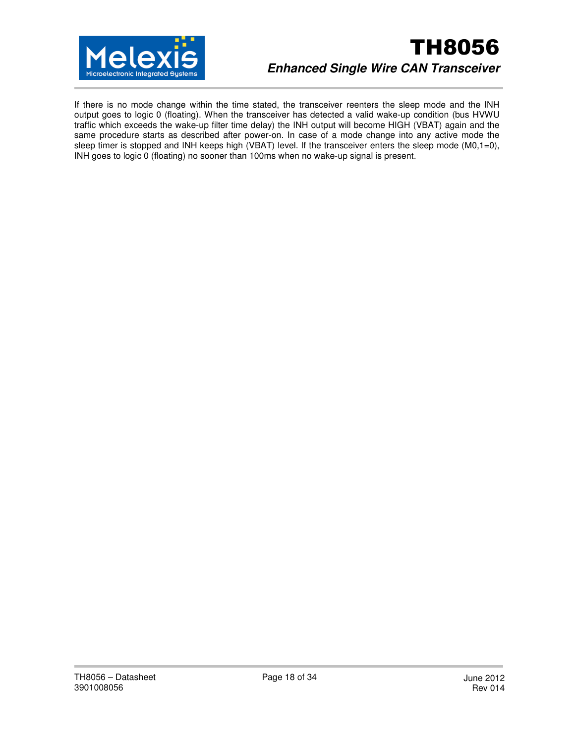

# TH8056 **Enhanced Single Wire CAN Transceiver**

If there is no mode change within the time stated, the transceiver reenters the sleep mode and the INH output goes to logic 0 (floating). When the transceiver has detected a valid wake-up condition (bus HVWU traffic which exceeds the wake-up filter time delay) the INH output will become HIGH (VBAT) again and the same procedure starts as described after power-on. In case of a mode change into any active mode the sleep timer is stopped and INH keeps high (VBAT) level. If the transceiver enters the sleep mode  $(M0,1=0)$ , INH goes to logic 0 (floating) no sooner than 100ms when no wake-up signal is present.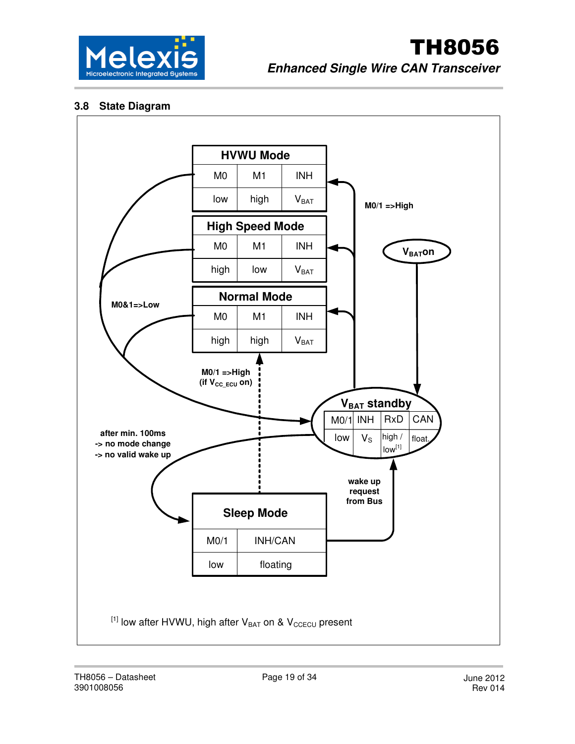

### **3.8 State Diagram**

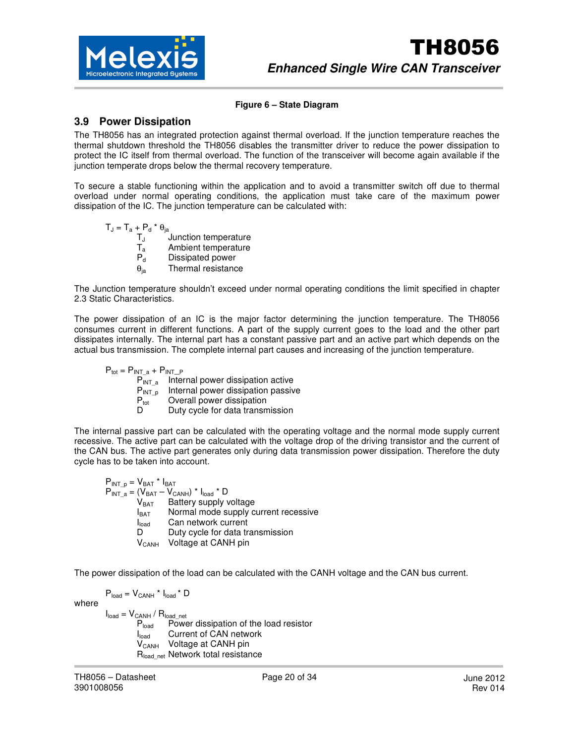

#### **Figure 6 – State Diagram**

#### **3.9 Power Dissipation**

The TH8056 has an integrated protection against thermal overload. If the junction temperature reaches the thermal shutdown threshold the TH8056 disables the transmitter driver to reduce the power dissipation to protect the IC itself from thermal overload. The function of the transceiver will become again available if the junction temperate drops below the thermal recovery temperature.

To secure a stable functioning within the application and to avoid a transmitter switch off due to thermal overload under normal operating conditions, the application must take care of the maximum power dissipation of the IC. The junction temperature can be calculated with:

 $T_J = T_a + P_d * \theta_{ja}$ T<sub>J</sub> Junction temperature  $T_a$  Ambient temperature P<sub>d</sub> Dissipated power  $\theta_{ia}$  Thermal resistance

The Junction temperature shouldn't exceed under normal operating conditions the limit specified in chapter 2.3 Static Characteristics.

The power dissipation of an IC is the major factor determining the junction temperature. The TH8056 consumes current in different functions. A part of the supply current goes to the load and the other part dissipates internally. The internal part has a constant passive part and an active part which depends on the actual bus transmission. The complete internal part causes and increasing of the junction temperature.

 $P_{tot} = P_{INT_a} + P_{INT_a}$  $P_{INT a}$  Internal power dissipation active  $P_{\text{INT}_{\text{D}}}$  Internal power dissipation passive<br> $P_{\text{tot}}$  Overall power dissipation Overall power dissipation Duty cycle for data transmission

The internal passive part can be calculated with the operating voltage and the normal mode supply current recessive. The active part can be calculated with the voltage drop of the driving transistor and the current of the CAN bus. The active part generates only during data transmission power dissipation. Therefore the duty cycle has to be taken into account.

 $P_{INT-p} = V_{BAT} * I_{BAT}$  $P_{INT_a} = (V_{BAT} - V_{CANH}) * I_{load} * D$ <br> $V_{BAT}$  Battery supply v  $V_{BAT}$  Battery supply voltage<br> $V_{BAT}$  Normal mode supply c Normal mode supply current recessive  $I<sub>load</sub>$  Can network current<br>D<sub>urb</sub> cycle for data tr D Duty cycle for data transmission<br>V<sub>CANH</sub> Voltage at CANH pin Voltage at CANH pin

The power dissipation of the load can be calculated with the CANH voltage and the CAN bus current.

 $P_{load} = V_{CANH} * I_{load} * D$ 

where

 $I_{load} = V_{CANH} / R_{loadnet}$ P<sub>load</sub> Power dissipation of the load resistor I<sub>load</sub> Current of CAN network  $V_{CANH}$  Voltage at CANH pin R<sub>load net</sub> Network total resistance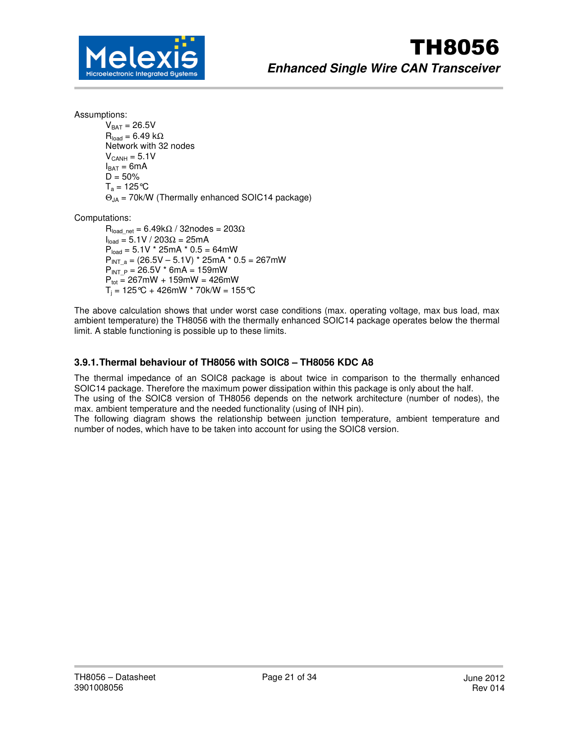

Assumptions:

 $V<sub>BAT</sub> = 26.5V$  $R_{\text{load}} = 6.49 \text{ k}\Omega$  Network with 32 nodes  $V_{CANH} = 5.1V$  $I_{BAT} = 6mA$  $D = 50%$  $T_a = 125$  °C  $\Theta_{JA}$  = 70k/W (Thermally enhanced SOIC14 package)

Computations:

 $R_{load\_net} = 6.49k\Omega / 32nodes = 203\Omega$  $I_{load} = 5.1V / 203Ω = 25mA$  $P_{load} = 5.1V * 25mA * 0.5 = 64mW$  $P_{INT A} = (26.5V - 5.1V) * 25mA * 0.5 = 267mW$  $P_{INT P} = 26.5V * 6mA = 159mW$  $P_{\text{tot}} = 267$ mW + 159mW = 426mW  $\mathsf{T}_\mathsf{j}$  = 125°C + 426mW \* 70k/W = 155°C

The above calculation shows that under worst case conditions (max. operating voltage, max bus load, max ambient temperature) the TH8056 with the thermally enhanced SOIC14 package operates below the thermal limit. A stable functioning is possible up to these limits.

#### **3.9.1. Thermal behaviour of TH8056 with SOIC8 – TH8056 KDC A8**

The thermal impedance of an SOIC8 package is about twice in comparison to the thermally enhanced SOIC14 package. Therefore the maximum power dissipation within this package is only about the half. The using of the SOIC8 version of TH8056 depends on the network architecture (number of nodes), the

max. ambient temperature and the needed functionality (using of INH pin).

The following diagram shows the relationship between junction temperature, ambient temperature and number of nodes, which have to be taken into account for using the SOIC8 version.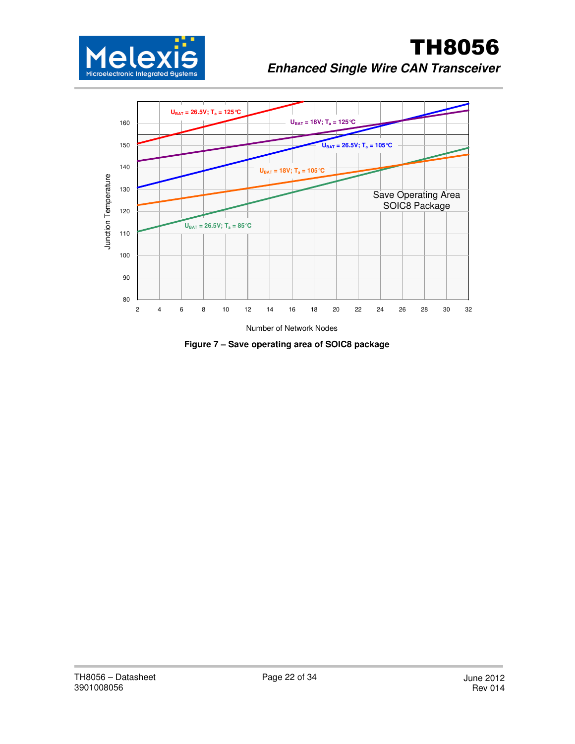



**Figure 7 – Save operating area of SOIC8 package**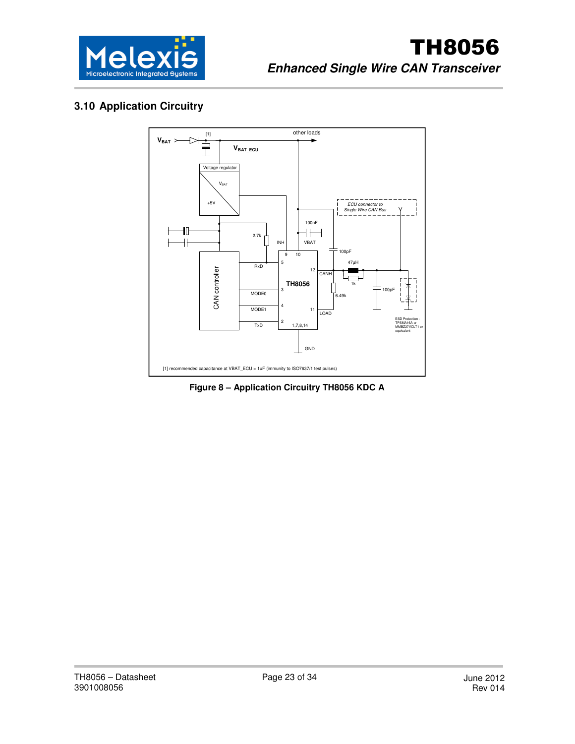

# **3.10 Application Circuitry**



**Figure 8 – Application Circuitry TH8056 KDC A**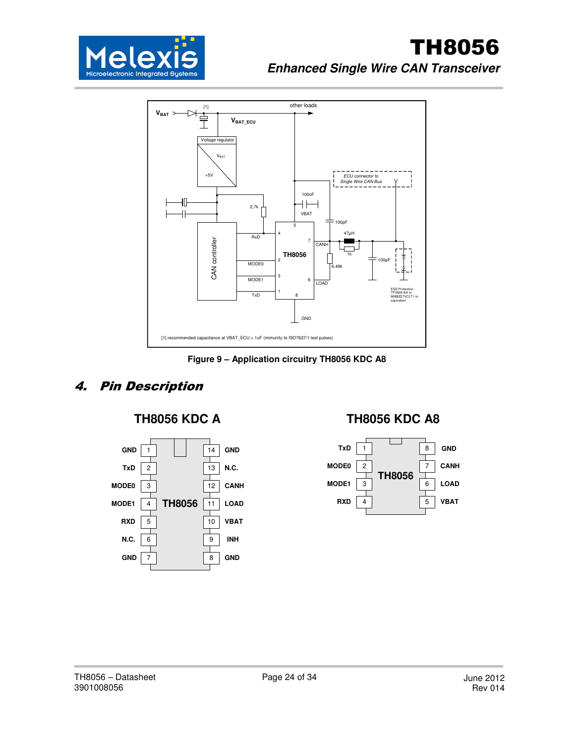



**Figure 9 – Application circuitry TH8056 KDC A8** 

# 4. Pin Description



# **TH8056 KDC A TH8056 KDC A8**

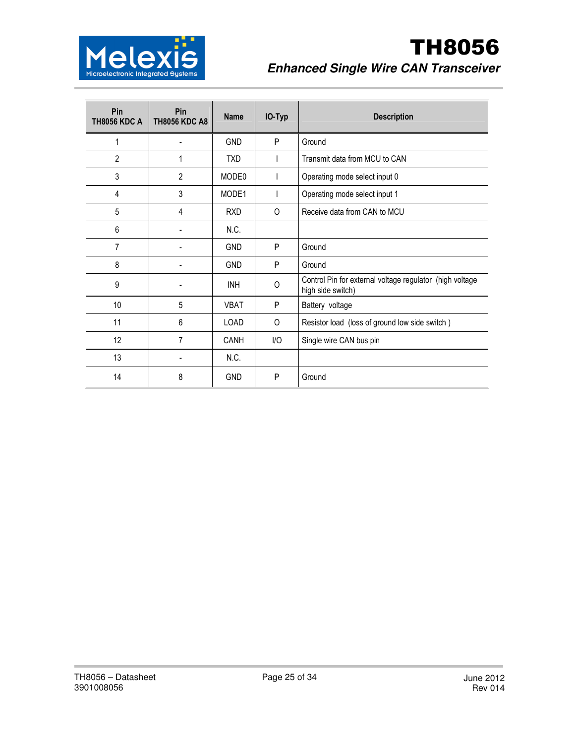

# TH8056 **Enhanced Single Wire CAN Transceiver**

| Pin<br><b>TH8056 KDC A</b> | Pin<br><b>TH8056 KDC A8</b> | <b>Name</b> | IO-Typ   | <b>Description</b>                                                            |
|----------------------------|-----------------------------|-------------|----------|-------------------------------------------------------------------------------|
| 1                          |                             | <b>GND</b>  | P        | Ground                                                                        |
| 2                          | 1                           | <b>TXD</b>  |          | Transmit data from MCU to CAN                                                 |
| 3                          | $\overline{2}$              | MODE0       | I        | Operating mode select input 0                                                 |
| 4                          | 3                           | MODE1       | I        | Operating mode select input 1                                                 |
| 5                          | 4                           | <b>RXD</b>  | 0        | Receive data from CAN to MCU                                                  |
| 6                          |                             | N.C.        |          |                                                                               |
| $\overline{7}$             | ٠                           | <b>GND</b>  | P        | Ground                                                                        |
| 8                          |                             | <b>GND</b>  | P        | Ground                                                                        |
| 9                          |                             | <b>INH</b>  | $\Omega$ | Control Pin for external voltage regulator (high voltage<br>high side switch) |
| 10                         | 5                           | <b>VBAT</b> | P        | Battery voltage                                                               |
| 11                         | 6                           | <b>LOAD</b> | 0        | Resistor load (loss of ground low side switch)                                |
| 12                         | 7                           | CANH        | I/O      | Single wire CAN bus pin                                                       |
| 13                         |                             | N.C.        |          |                                                                               |
| 14                         | 8                           | <b>GND</b>  | P        | Ground                                                                        |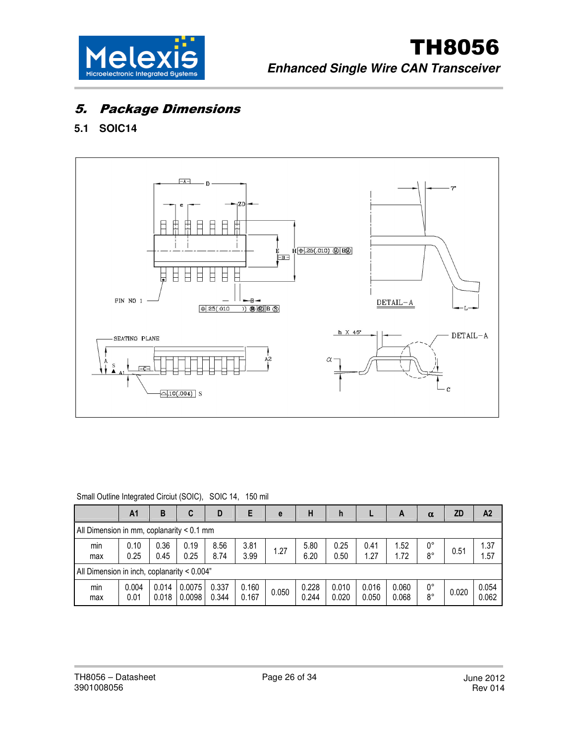

# 5. Package Dimensions

# **5.1 SOIC14**



| Small Outline Integrated Circiut (SOIC), SOIC 14, 150 mil |               |                |                  |                |                |       |                |                |                |                |                   |           |                |
|-----------------------------------------------------------|---------------|----------------|------------------|----------------|----------------|-------|----------------|----------------|----------------|----------------|-------------------|-----------|----------------|
|                                                           | A1            | B              | C                | D              | E              | e     | н              | h              |                | A              | $\alpha$          | <b>ZD</b> | A <sub>2</sub> |
| All Dimension in mm, coplanarity < 0.1 mm                 |               |                |                  |                |                |       |                |                |                |                |                   |           |                |
| min<br>max                                                | 0.10<br>0.25  | 0.36<br>0.45   | 0.19<br>0.25     | 8.56<br>8.74   | 3.81<br>3.99   | 1.27  | 5.80<br>6.20   | 0.25<br>0.50   | 0.41<br>1.27   | 1.52<br>1.72   | 0°<br>8°          | 0.51      | 1.37<br>1.57   |
| All Dimension in inch, coplanarity < 0.004"               |               |                |                  |                |                |       |                |                |                |                |                   |           |                |
| min<br>max                                                | 0.004<br>0.01 | 0.014<br>0.018 | 0.0075<br>0.0098 | 0.337<br>0.344 | 0.160<br>0.167 | 0.050 | 0.228<br>0.244 | 0.010<br>0.020 | 0.016<br>0.050 | 0.060<br>0.068 | 0°<br>$8^{\circ}$ | 0.020     | 0.054<br>0.062 |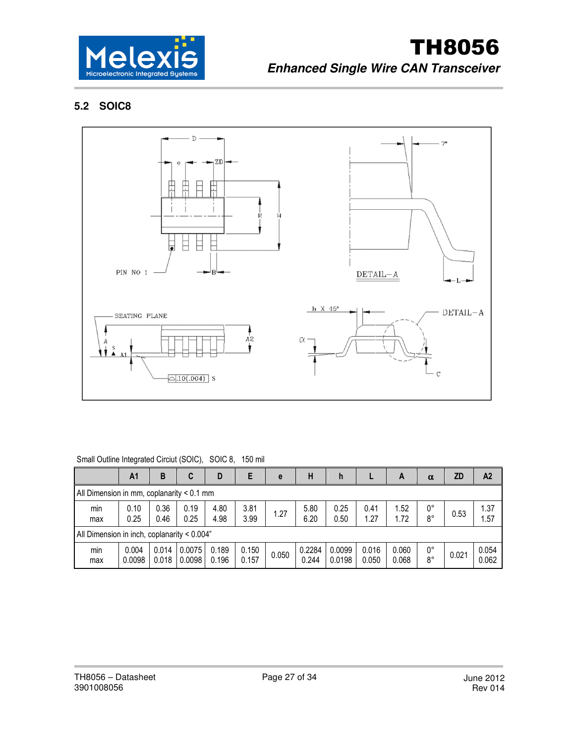

# **5.2 SOIC8**



#### Small Outline Integrated Circiut (SOIC), SOIC 8, 150 mil

|                                             | A1              | В              | C                | D              | E              | e     | н               | h                |                | A              | $\alpha$ | <b>ZD</b> | A <sub>2</sub> |
|---------------------------------------------|-----------------|----------------|------------------|----------------|----------------|-------|-----------------|------------------|----------------|----------------|----------|-----------|----------------|
| All Dimension in mm, coplanarity $< 0.1$ mm |                 |                |                  |                |                |       |                 |                  |                |                |          |           |                |
| min<br>max                                  | 0.10<br>0.25    | 0.36<br>0.46   | 0.19<br>0.25     | 4.80<br>4.98   | 3.81<br>3.99   | 1.27  | 5.80<br>6.20    | 0.25<br>0.50     | 0.41<br>1.27   | 1.52<br>1.72   | 0°<br>8° | 0.53      | 1.37<br>1.57   |
| All Dimension in inch, coplanarity < 0.004" |                 |                |                  |                |                |       |                 |                  |                |                |          |           |                |
| min<br>max                                  | 0.004<br>0.0098 | 0.014<br>0.018 | 0.0075<br>0.0098 | 0.189<br>0.196 | 0.150<br>0.157 | 0.050 | 0.2284<br>0.244 | 0.0099<br>0.0198 | 0.016<br>0.050 | 0.060<br>0.068 | 0°<br>8° | 0.021     | 0.054<br>0.062 |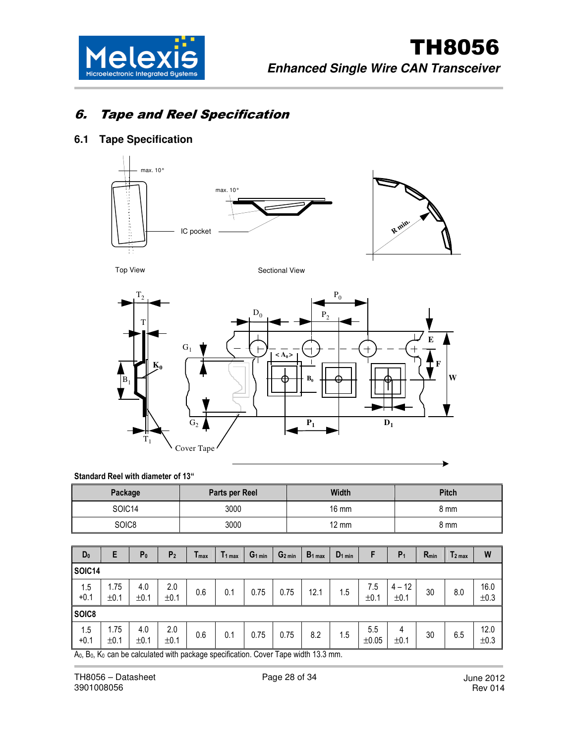

# 6. Tape and Reel Specification

### **6.1 Tape Specification**



Top View Sectional View



#### Standard Reel with diameter of 13"

| Package | <b>Parts per Reel</b> | Width           | <b>Pitch</b> |
|---------|-----------------------|-----------------|--------------|
| SOIC14  | 3000                  | $16 \text{ mm}$ | 8 mm         |
| SOIC8   | 3000                  | 12 mm           | 8 mm         |

| $D_0$              | E                                                                                                                   | P <sub>0</sub> | P <sub>2</sub> | Imax | 11 <sub>max</sub> | G <sub>1 min</sub> | G <sub>2 min</sub> | $B_1$ <sub>max</sub> | $D_1$ <sub>min</sub> | F                 | $P_1$            | $R_{min}$ | $T2$ max | W            |
|--------------------|---------------------------------------------------------------------------------------------------------------------|----------------|----------------|------|-------------------|--------------------|--------------------|----------------------|----------------------|-------------------|------------------|-----------|----------|--------------|
| SOIC <sub>14</sub> |                                                                                                                     |                |                |      |                   |                    |                    |                      |                      |                   |                  |           |          |              |
| 1.5<br>$+0.1$      | 1.75<br>±0.1                                                                                                        | 4.0<br>±0.1    | 2.0<br>±0.1    | 0.6  | 0.1               | 0.75               | 0.75               | 12.1                 | 1.5                  | 7.5<br>±0.1       | $4 - 12$<br>±0.1 | 30        | 8.0      | 16.0<br>±0.3 |
|                    |                                                                                                                     |                |                |      |                   |                    |                    |                      |                      |                   |                  |           |          |              |
| 1.5<br>$+0.1$      | 1.75<br>±0.1                                                                                                        | 4.0<br>±0.1    | 2.0<br>±0.1    | 0.6  | 0.1               | 0.75               | 0.75               | 8.2                  | 1.5                  | 5.5<br>$\pm 0.05$ | 4<br>±0.1        | 30        | 6.5      | 12.0<br>±0.3 |
| SOIC8              | A <sub>0</sub> B <sub>0</sub> K <sub>0</sub> can be calculated with nackage specification. Cover Tane width 13.3 mm |                |                |      |                   |                    |                    |                      |                      |                   |                  |           |          |              |

A0, B0, K0 can be calculated with package specification. Cover Tape width 13.3 mm.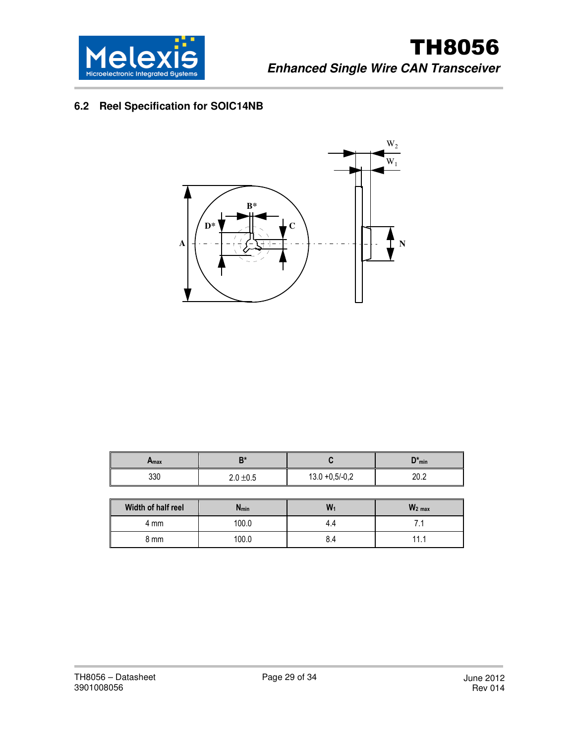

# **6.2 Reel Specification for SOIC14NB**



| Amax | D*            |                   | $D^*_{min}$  |
|------|---------------|-------------------|--------------|
| 330  | $2.0 \pm 0.5$ | $13.0 + 0.5/-0.2$ | י ∩ר<br>ZU.Z |

| Width of half reel | $N_{min}$ | W   | $W_2$ <sub>max</sub> |
|--------------------|-----------|-----|----------------------|
| 4 mm               | 100.0     | 4.4 |                      |
| 8 mm               | 100.0     | 8.4 | 44                   |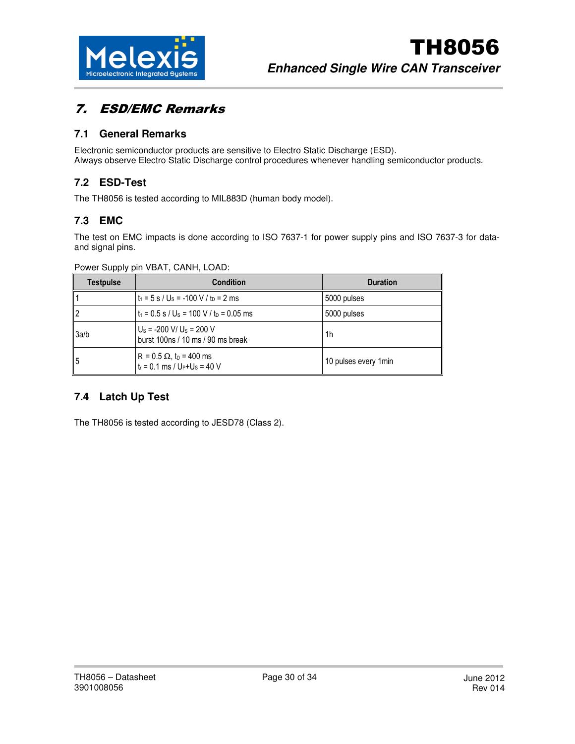

# 7. ESD/EMC Remarks

### **7.1 General Remarks**

Electronic semiconductor products are sensitive to Electro Static Discharge (ESD). Always observe Electro Static Discharge control procedures whenever handling semiconductor products.

### **7.2 ESD-Test**

The TH8056 is tested according to MIL883D (human body model).

### **7.3 EMC**

The test on EMC impacts is done according to ISO 7637-1 for power supply pins and ISO 7637-3 for dataand signal pins.

| <b>Testpulse</b> | <b>Condition</b>                                                                  | <b>Duration</b>       |
|------------------|-----------------------------------------------------------------------------------|-----------------------|
|                  | $t_1 = 5$ s / U <sub>s</sub> = -100 V / t <sub>D</sub> = 2 ms                     | 5000 pulses           |
| $\mathsf{I}$     | $t_1 = 0.5$ s / U <sub>s</sub> = 100 V / t <sub>D</sub> = 0.05 ms                 | 5000 pulses           |
| 3a/b             | $U_s$ = -200 V/ U <sub>s</sub> = 200 V<br>burst 100ns / 10 ms / 90 ms break       | 1h                    |
| $\Big $          | $R_i = 0.5 \Omega$ , t <sub>D</sub> = 400 ms<br>$t_r = 0.1$ ms / $U_P+U_S = 40$ V | 10 pulses every 1 min |

Power Supply pin VBAT, CANH, LOAD:

# **7.4 Latch Up Test**

The TH8056 is tested according to JESD78 (Class 2).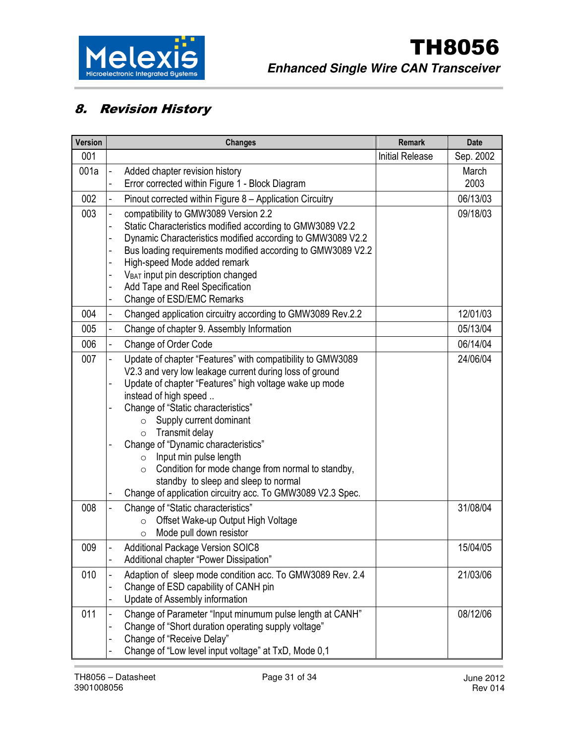

# 8. Revision History

| <b>Initial Release</b><br>001<br>001a<br>Added chapter revision history<br>March<br>2003<br>Error corrected within Figure 1 - Block Diagram<br>-<br>002<br>06/13/03<br>Pinout corrected within Figure 8 - Application Circuitry<br>$\overline{\phantom{0}}$<br>003<br>compatibility to GMW3089 Version 2.2<br>09/18/03<br>Static Characteristics modified according to GMW3089 V2.2<br>Dynamic Characteristics modified according to GMW3089 V2.2<br>Bus loading requirements modified according to GMW3089 V2.2<br>High-speed Mode added remark<br>V <sub>BAT</sub> input pin description changed<br>Add Tape and Reel Specification<br>Change of ESD/EMC Remarks<br>Changed application circuitry according to GMW3089 Rev.2.2<br>12/01/03<br>004<br>-<br>05/13/04<br>005<br>Change of chapter 9. Assembly Information<br>$\overline{\phantom{0}}$<br>006<br>06/14/04<br>Change of Order Code<br>-<br>007<br>Update of chapter "Features" with compatibility to GMW3089<br>24/06/04<br>-<br>V2.3 and very low leakage current during loss of ground | <b>Version</b> | <b>Changes</b> | <b>Remark</b> | <b>Date</b> |
|-------------------------------------------------------------------------------------------------------------------------------------------------------------------------------------------------------------------------------------------------------------------------------------------------------------------------------------------------------------------------------------------------------------------------------------------------------------------------------------------------------------------------------------------------------------------------------------------------------------------------------------------------------------------------------------------------------------------------------------------------------------------------------------------------------------------------------------------------------------------------------------------------------------------------------------------------------------------------------------------------------------------------------------------------------|----------------|----------------|---------------|-------------|
|                                                                                                                                                                                                                                                                                                                                                                                                                                                                                                                                                                                                                                                                                                                                                                                                                                                                                                                                                                                                                                                       |                |                |               | Sep. 2002   |
|                                                                                                                                                                                                                                                                                                                                                                                                                                                                                                                                                                                                                                                                                                                                                                                                                                                                                                                                                                                                                                                       |                |                |               |             |
|                                                                                                                                                                                                                                                                                                                                                                                                                                                                                                                                                                                                                                                                                                                                                                                                                                                                                                                                                                                                                                                       |                |                |               |             |
|                                                                                                                                                                                                                                                                                                                                                                                                                                                                                                                                                                                                                                                                                                                                                                                                                                                                                                                                                                                                                                                       |                |                |               |             |
|                                                                                                                                                                                                                                                                                                                                                                                                                                                                                                                                                                                                                                                                                                                                                                                                                                                                                                                                                                                                                                                       |                |                |               |             |
|                                                                                                                                                                                                                                                                                                                                                                                                                                                                                                                                                                                                                                                                                                                                                                                                                                                                                                                                                                                                                                                       |                |                |               |             |
|                                                                                                                                                                                                                                                                                                                                                                                                                                                                                                                                                                                                                                                                                                                                                                                                                                                                                                                                                                                                                                                       |                |                |               |             |
|                                                                                                                                                                                                                                                                                                                                                                                                                                                                                                                                                                                                                                                                                                                                                                                                                                                                                                                                                                                                                                                       |                |                |               |             |
|                                                                                                                                                                                                                                                                                                                                                                                                                                                                                                                                                                                                                                                                                                                                                                                                                                                                                                                                                                                                                                                       |                |                |               |             |
|                                                                                                                                                                                                                                                                                                                                                                                                                                                                                                                                                                                                                                                                                                                                                                                                                                                                                                                                                                                                                                                       |                |                |               |             |
|                                                                                                                                                                                                                                                                                                                                                                                                                                                                                                                                                                                                                                                                                                                                                                                                                                                                                                                                                                                                                                                       |                |                |               |             |
|                                                                                                                                                                                                                                                                                                                                                                                                                                                                                                                                                                                                                                                                                                                                                                                                                                                                                                                                                                                                                                                       |                |                |               |             |
|                                                                                                                                                                                                                                                                                                                                                                                                                                                                                                                                                                                                                                                                                                                                                                                                                                                                                                                                                                                                                                                       |                |                |               |             |
|                                                                                                                                                                                                                                                                                                                                                                                                                                                                                                                                                                                                                                                                                                                                                                                                                                                                                                                                                                                                                                                       |                |                |               |             |
|                                                                                                                                                                                                                                                                                                                                                                                                                                                                                                                                                                                                                                                                                                                                                                                                                                                                                                                                                                                                                                                       |                |                |               |             |
|                                                                                                                                                                                                                                                                                                                                                                                                                                                                                                                                                                                                                                                                                                                                                                                                                                                                                                                                                                                                                                                       |                |                |               |             |
| Update of chapter "Features" high voltage wake up mode                                                                                                                                                                                                                                                                                                                                                                                                                                                                                                                                                                                                                                                                                                                                                                                                                                                                                                                                                                                                |                |                |               |             |
| instead of high speed                                                                                                                                                                                                                                                                                                                                                                                                                                                                                                                                                                                                                                                                                                                                                                                                                                                                                                                                                                                                                                 |                |                |               |             |
| Change of "Static characteristics"<br>Supply current dominant                                                                                                                                                                                                                                                                                                                                                                                                                                                                                                                                                                                                                                                                                                                                                                                                                                                                                                                                                                                         |                |                |               |             |
| $\circ$<br>Transmit delay<br>$\circ$                                                                                                                                                                                                                                                                                                                                                                                                                                                                                                                                                                                                                                                                                                                                                                                                                                                                                                                                                                                                                  |                |                |               |             |
| Change of "Dynamic characteristics"                                                                                                                                                                                                                                                                                                                                                                                                                                                                                                                                                                                                                                                                                                                                                                                                                                                                                                                                                                                                                   |                |                |               |             |
| Input min pulse length<br>$\circ$                                                                                                                                                                                                                                                                                                                                                                                                                                                                                                                                                                                                                                                                                                                                                                                                                                                                                                                                                                                                                     |                |                |               |             |
| Condition for mode change from normal to standby,<br>$\circ$                                                                                                                                                                                                                                                                                                                                                                                                                                                                                                                                                                                                                                                                                                                                                                                                                                                                                                                                                                                          |                |                |               |             |
| standby to sleep and sleep to normal                                                                                                                                                                                                                                                                                                                                                                                                                                                                                                                                                                                                                                                                                                                                                                                                                                                                                                                                                                                                                  |                |                |               |             |
| Change of application circuitry acc. To GMW3089 V2.3 Spec.                                                                                                                                                                                                                                                                                                                                                                                                                                                                                                                                                                                                                                                                                                                                                                                                                                                                                                                                                                                            |                |                |               |             |
| 008<br>Change of "Static characteristics"<br>31/08/04                                                                                                                                                                                                                                                                                                                                                                                                                                                                                                                                                                                                                                                                                                                                                                                                                                                                                                                                                                                                 |                |                |               |             |
| Offset Wake-up Output High Voltage<br>$\circ$                                                                                                                                                                                                                                                                                                                                                                                                                                                                                                                                                                                                                                                                                                                                                                                                                                                                                                                                                                                                         |                |                |               |             |
| Mode pull down resistor<br>$\circ$                                                                                                                                                                                                                                                                                                                                                                                                                                                                                                                                                                                                                                                                                                                                                                                                                                                                                                                                                                                                                    |                |                |               |             |
| 009<br>15/04/05<br><b>Additional Package Version SOIC8</b>                                                                                                                                                                                                                                                                                                                                                                                                                                                                                                                                                                                                                                                                                                                                                                                                                                                                                                                                                                                            |                |                |               |             |
| Additional chapter "Power Dissipation"                                                                                                                                                                                                                                                                                                                                                                                                                                                                                                                                                                                                                                                                                                                                                                                                                                                                                                                                                                                                                |                |                |               |             |
| Adaption of sleep mode condition acc. To GMW3089 Rev. 2.4<br>21/03/06<br>010                                                                                                                                                                                                                                                                                                                                                                                                                                                                                                                                                                                                                                                                                                                                                                                                                                                                                                                                                                          |                |                |               |             |
| Change of ESD capability of CANH pin<br>Update of Assembly information                                                                                                                                                                                                                                                                                                                                                                                                                                                                                                                                                                                                                                                                                                                                                                                                                                                                                                                                                                                |                |                |               |             |
| 011<br>Change of Parameter "Input minumum pulse length at CANH"<br>08/12/06                                                                                                                                                                                                                                                                                                                                                                                                                                                                                                                                                                                                                                                                                                                                                                                                                                                                                                                                                                           |                |                |               |             |
| Change of "Short duration operating supply voltage"                                                                                                                                                                                                                                                                                                                                                                                                                                                                                                                                                                                                                                                                                                                                                                                                                                                                                                                                                                                                   |                |                |               |             |
| Change of "Receive Delay"                                                                                                                                                                                                                                                                                                                                                                                                                                                                                                                                                                                                                                                                                                                                                                                                                                                                                                                                                                                                                             |                |                |               |             |
| Change of "Low level input voltage" at TxD, Mode 0,1                                                                                                                                                                                                                                                                                                                                                                                                                                                                                                                                                                                                                                                                                                                                                                                                                                                                                                                                                                                                  |                |                |               |             |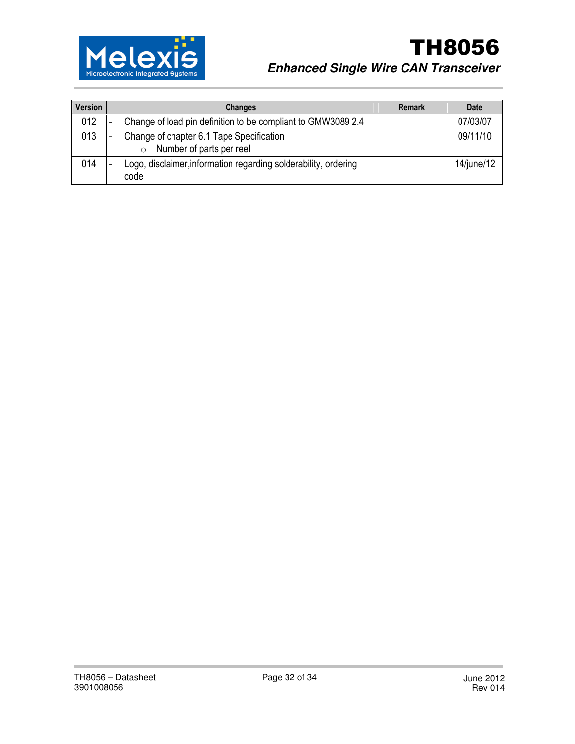

# TH8056 **Enhanced Single Wire CAN Transceiver**

| Version | <b>Changes</b>                                                                   | <b>Remark</b> | <b>Date</b> |
|---------|----------------------------------------------------------------------------------|---------------|-------------|
| 012     | Change of load pin definition to be compliant to GMW3089 2.4                     |               | 07/03/07    |
| 013     | Change of chapter 6.1 Tape Specification<br>Number of parts per reel<br>$\Omega$ |               | 09/11/10    |
| 014     | Logo, disclaimer, information regarding solderability, ordering<br>code          |               | 14/june/12  |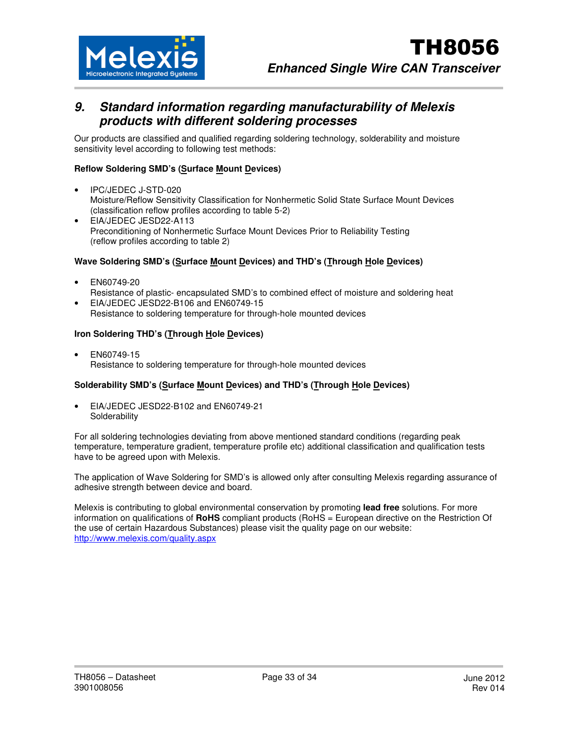

# **9. Standard information regarding manufacturability of Melexis products with different soldering processes**

Our products are classified and qualified regarding soldering technology, solderability and moisture sensitivity level according to following test methods:

#### **Reflow Soldering SMD's (Surface Mount Devices)**

- IPC/JEDEC J-STD-020 Moisture/Reflow Sensitivity Classification for Nonhermetic Solid State Surface Mount Devices (classification reflow profiles according to table 5-2)
- EIA/JEDEC JESD22-A113 Preconditioning of Nonhermetic Surface Mount Devices Prior to Reliability Testing (reflow profiles according to table 2)

#### Wave Soldering SMD's (Surface Mount Devices) and THD's (Through Hole Devices)

- EN60749-20
- Resistance of plastic- encapsulated SMD's to combined effect of moisture and soldering heat
- EIA/JEDEC JESD22-B106 and EN60749-15
	- Resistance to soldering temperature for through-hole mounted devices

#### **Iron Soldering THD's (Through Hole Devices)**

• EN60749-15 Resistance to soldering temperature for through-hole mounted devices

#### **Solderability SMD's (Surface Mount Devices) and THD's (Through Hole Devices)**

• EIA/JEDEC JESD22-B102 and EN60749-21 **Solderability** 

For all soldering technologies deviating from above mentioned standard conditions (regarding peak temperature, temperature gradient, temperature profile etc) additional classification and qualification tests have to be agreed upon with Melexis.

The application of Wave Soldering for SMD's is allowed only after consulting Melexis regarding assurance of adhesive strength between device and board.

Melexis is contributing to global environmental conservation by promoting **lead free** solutions. For more information on qualifications of **RoHS** compliant products (RoHS = European directive on the Restriction Of the use of certain Hazardous Substances) please visit the quality page on our website: http://www.melexis.com/quality.aspx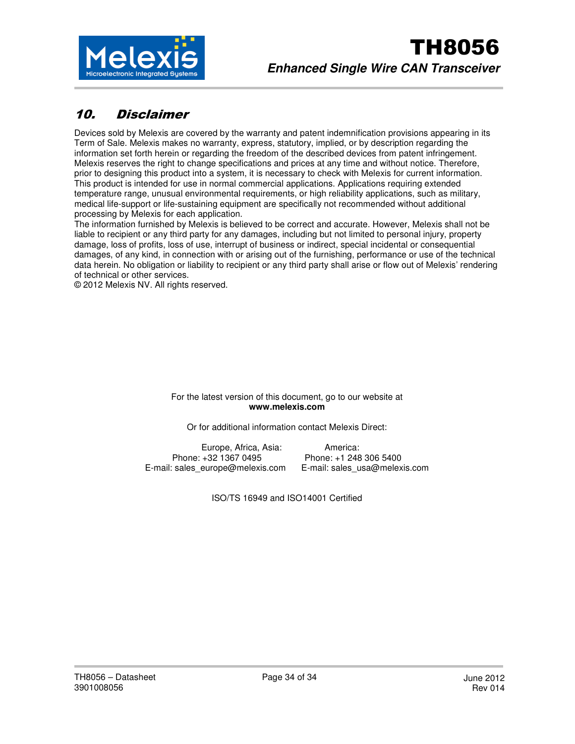

# 10. Disclaimer

Devices sold by Melexis are covered by the warranty and patent indemnification provisions appearing in its Term of Sale. Melexis makes no warranty, express, statutory, implied, or by description regarding the information set forth herein or regarding the freedom of the described devices from patent infringement. Melexis reserves the right to change specifications and prices at any time and without notice. Therefore, prior to designing this product into a system, it is necessary to check with Melexis for current information. This product is intended for use in normal commercial applications. Applications requiring extended temperature range, unusual environmental requirements, or high reliability applications, such as military, medical life-support or life-sustaining equipment are specifically not recommended without additional processing by Melexis for each application.

The information furnished by Melexis is believed to be correct and accurate. However, Melexis shall not be liable to recipient or any third party for any damages, including but not limited to personal injury, property damage, loss of profits, loss of use, interrupt of business or indirect, special incidental or consequential damages, of any kind, in connection with or arising out of the furnishing, performance or use of the technical data herein. No obligation or liability to recipient or any third party shall arise or flow out of Melexis' rendering of technical or other services.

© 2012 Melexis NV. All rights reserved.

For the latest version of this document, go to our website at **www.melexis.com** 

Or for additional information contact Melexis Direct:

Europe, Africa, Asia: America: Phone: +32 1367 0495 Phone: +1 248 306 5400 E-mail: sales\_europe@melexis.com E-mail: sales\_usa@melexis.com

ISO/TS 16949 and ISO14001 Certified